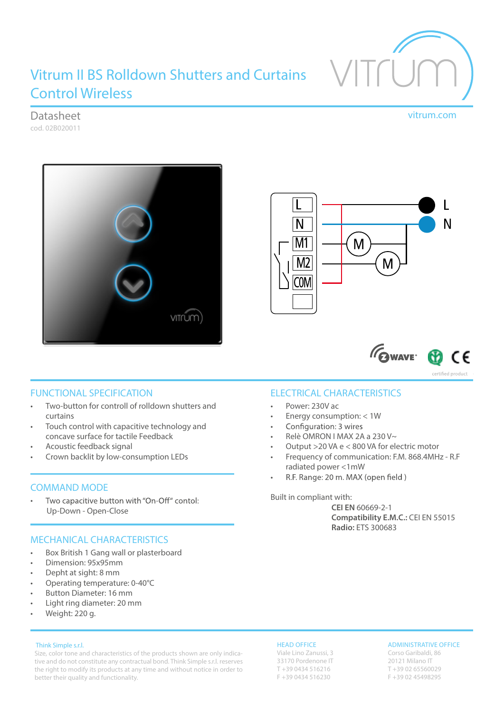

# Vitrum II BS Rolldown Shutters and Curtains Control Wireless

# Datasheet vitrum.com

cod. 02B020011







certified product

## FUNCTIONAL SPECIFICATION

- Two-button for controll of rolldown shutters and curtains
- Touch control with capacitive technology and concave surface for tactile Feedback
- Acoustic feedback signal
- Crown backlit by low-consumption LEDs

## COMMAND MODE

Two capacitive button with "On-Off" contol: • Up-Down - Open-Close

## MECHANICAL CHARACTERISTICS

- Box British 1 Gang wall or plasterboard
- Dimension: 95x95mm
- Depht at sight: 8 mm
- Operating temperature: 0-40°C
- Button Diameter: 16 mm
- Light ring diameter: 20 mm
- Weight: 220 g.

#### Think Simple s.r.l.

Size, color tone and characteristics of the products shown are only indicative and do not constitute any contractual bond. Think Simple s.r.l. reserves the right to modify its products at any time and without notice in order to better their quality and functionality.

## ELECTRICAL CHARACTERISTICS

- Power: 230V ac
- Energy consumption: < 1W
- Configuration: 3 wires •
- Relè OMRON I MAX 2A a 230 V~
- Output >20 VA e < 800 VA for electric motor
- Frequency of communication: F.M. 868.4MHz R.F radiated power <1mW
- R.F. Range: 20 m. MAX (open field) •

#### Built in compliant with:

**CEI EN** 60669-2-1 **Compatibility E.M.C.:** CEI EN 55015 **Radio:** ETS 300683

#### HEAD OFFICE

Viale Lino Zanussi, 3 33170 Pordenone IT T +39 0434 516216 F +39 0434 516230

#### ADMINISTRATIVE OFFICE

Corso Garibaldi, 86 20121 Milano IT T +39 02 65560029 F +39 02 45498295